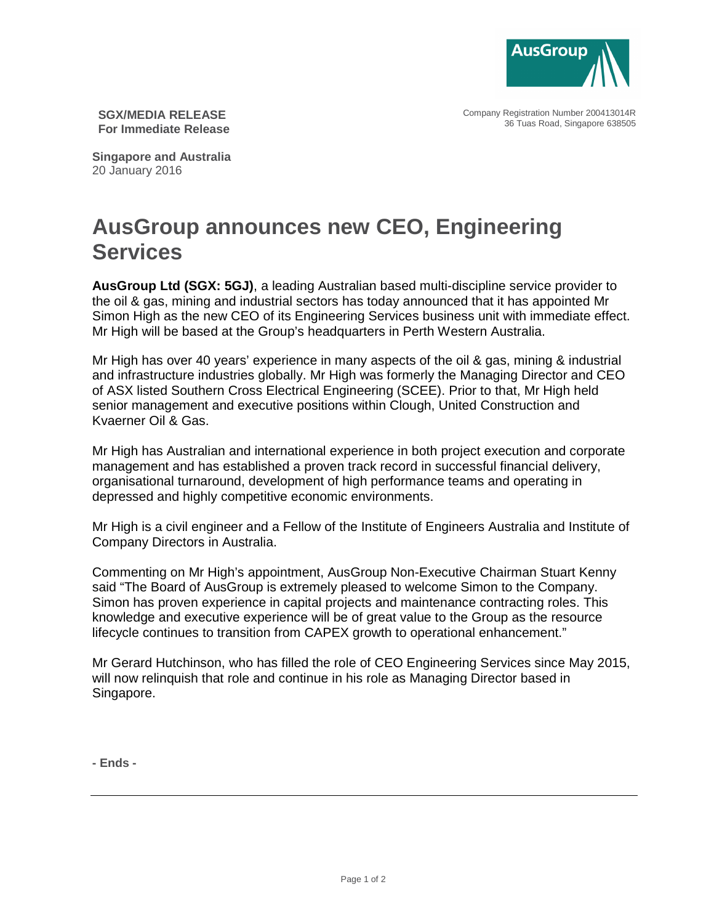

Company Registration Number 200413014R 36 Tuas Road, Singapore 638505

**SGX/MEDIA RELEASE For Immediate Release** 

**Singapore and Australia**  20 January 2016

## **AusGroup announces new CEO, Engineering Services**

**AusGroup Ltd (SGX: 5GJ)**, a leading Australian based multi-discipline service provider to the oil & gas, mining and industrial sectors has today announced that it has appointed Mr Simon High as the new CEO of its Engineering Services business unit with immediate effect. Mr High will be based at the Group's headquarters in Perth Western Australia.

Mr High has over 40 years' experience in many aspects of the oil & gas, mining & industrial and infrastructure industries globally. Mr High was formerly the Managing Director and CEO of ASX listed Southern Cross Electrical Engineering (SCEE). Prior to that, Mr High held senior management and executive positions within Clough, United Construction and Kvaerner Oil & Gas.

Mr High has Australian and international experience in both project execution and corporate management and has established a proven track record in successful financial delivery, organisational turnaround, development of high performance teams and operating in depressed and highly competitive economic environments.

Mr High is a civil engineer and a Fellow of the Institute of Engineers Australia and Institute of Company Directors in Australia.

Commenting on Mr High's appointment, AusGroup Non-Executive Chairman Stuart Kenny said "The Board of AusGroup is extremely pleased to welcome Simon to the Company. Simon has proven experience in capital projects and maintenance contracting roles. This knowledge and executive experience will be of great value to the Group as the resource lifecycle continues to transition from CAPEX growth to operational enhancement."

Mr Gerard Hutchinson, who has filled the role of CEO Engineering Services since May 2015, will now relinquish that role and continue in his role as Managing Director based in Singapore.

**- Ends -**